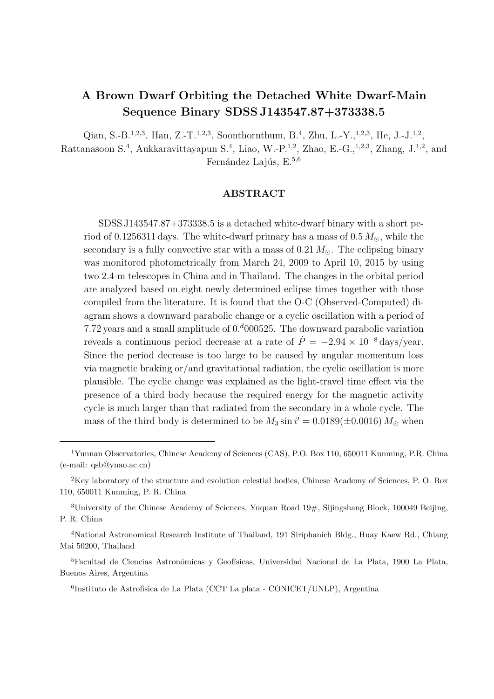# A Brown Dwarf Orbiting the Detached White Dwarf-Main Sequence Binary SDSS J143547.87+373338.5

Qian, S.-B.<sup>1,2,3</sup>, Han, Z.-T.<sup>1,2,3</sup>, Soonthornthum, B.<sup>4</sup>, Zhu, L.-Y.,<sup>1,2,3</sup>, He, J.-J.<sup>1,2</sup>, Rattanasoon S.<sup>4</sup>, Aukkaravittayapun S.<sup>4</sup>, Liao, W.-P.<sup>1,2</sup>, Zhao, E.-G.,<sup>1,2,3</sup>, Zhang, J.<sup>1,2</sup>, and Fernández Lajús, E. $5,6$ 

# ABSTRACT

SDSS J143547.87+373338.5 is a detached white-dwarf binary with a short period of 0.1256311 days. The white-dwarf primary has a mass of  $0.5 M_{\odot}$ , while the secondary is a fully convective star with a mass of  $0.21 M_{\odot}$ . The eclipsing binary was monitored photometrically from March 24, 2009 to April 10, 2015 by using two 2.4-m telescopes in China and in Thailand. The changes in the orbital period are analyzed based on eight newly determined eclipse times together with those compiled from the literature. It is found that the O-C (Observed-Computed) diagram shows a downward parabolic change or a cyclic oscillation with a period of 7.72 years and a small amplitude of  $0.4000525$ . The downward parabolic variation reveals a continuous period decrease at a rate of  $\dot{P} = -2.94 \times 10^{-8}$  days/year. Since the period decrease is too large to be caused by angular momentum loss via magnetic braking or/and gravitational radiation, the cyclic oscillation is more plausible. The cyclic change was explained as the light-travel time effect via the presence of a third body because the required energy for the magnetic activity cycle is much larger than that radiated from the secondary in a whole cycle. The mass of the third body is determined to be  $M_3 \sin i' = 0.0189(\pm 0.0016) M_{\odot}$  when

<sup>1</sup>Yunnan Observatories, Chinese Academy of Sciences (CAS), P.O. Box 110, 650011 Kunming, P.R. China (e-mail: qsb@ynao.ac.cn)

<sup>&</sup>lt;sup>2</sup>Key laboratory of the structure and evolution celestial bodies, Chinese Academy of Sciences, P. O. Box 110, 650011 Kunming, P. R. China

<sup>&</sup>lt;sup>3</sup>University of the Chinese Academy of Sciences, Yuquan Road  $19\#$ , Sijingshang Block, 100049 Beijing, P. R. China

<sup>4</sup>National Astronomical Research Institute of Thailand, 191 Siriphanich Bldg., Huay Kaew Rd., Chiang Mai 50200, Thailand

<sup>&</sup>lt;sup>5</sup>Facultad de Ciencias Astronómicas y Geofísicas, Universidad Nacional de La Plata, 1900 La Plata, Buenos Aires, Argentina

<sup>6</sup> Instituto de Astrofisica de La Plata (CCT La plata - CONICET/UNLP), Argentina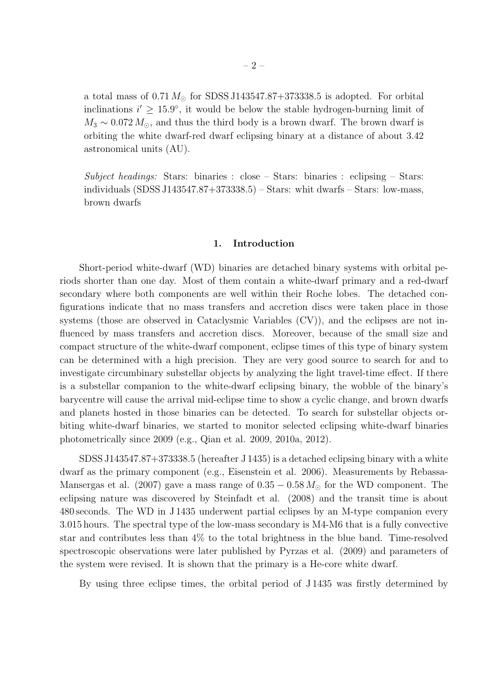a total mass of  $0.71 M_{\odot}$  for SDSS J143547.87+373338.5 is adopted. For orbital inclinations  $i' \geq 15.9^{\circ}$ , it would be below the stable hydrogen-burning limit of  $M_3 \sim 0.072 M_{\odot}$ , and thus the third body is a brown dwarf. The brown dwarf is orbiting the white dwarf-red dwarf eclipsing binary at a distance of about 3.42 astronomical units (AU).

Subject headings: Stars: binaries : close – Stars: binaries : eclipsing – Stars: individuals (SDSS J143547.87+373338.5) – Stars: whit dwarfs – Stars: low-mass, brown dwarfs

## 1. Introduction

Short-period white-dwarf (WD) binaries are detached binary systems with orbital periods shorter than one day. Most of them contain a white-dwarf primary and a red-dwarf secondary where both components are well within their Roche lobes. The detached configurations indicate that no mass transfers and accretion discs were taken place in those systems (those are observed in Cataclysmic Variables (CV)), and the eclipses are not influenced by mass transfers and accretion discs. Moreover, because of the small size and compact structure of the white-dwarf component, eclipse times of this type of binary system can be determined with a high precision. They are very good source to search for and to investigate circumbinary substellar objects by analyzing the light travel-time effect. If there is a substellar companion to the white-dwarf eclipsing binary, the wobble of the binary's barycentre will cause the arrival mid-eclipse time to show a cyclic change, and brown dwarfs and planets hosted in those binaries can be detected. To search for substellar objects orbiting white-dwarf binaries, we started to monitor selected eclipsing white-dwarf binaries photometrically since 2009 (e.g., Qian et al. 2009, 2010a, 2012).

SDSS J143547.87+373338.5 (hereafter J 1435) is a detached eclipsing binary with a white dwarf as the primary component (e.g., Eisenstein et al. 2006). Measurements by Rebassa-Mansergas et al. (2007) gave a mass range of  $0.35 - 0.58 M_{\odot}$  for the WD component. The eclipsing nature was discovered by Steinfadt et al. (2008) and the transit time is about 480 seconds. The WD in J 1435 underwent partial eclipses by an M-type companion every 3.015 hours. The spectral type of the low-mass secondary is M4-M6 that is a fully convective star and contributes less than 4% to the total brightness in the blue band. Time-resolved spectroscopic observations were later published by Pyrzas et al. (2009) and parameters of the system were revised. It is shown that the primary is a He-core white dwarf.

By using three eclipse times, the orbital period of J 1435 was firstly determined by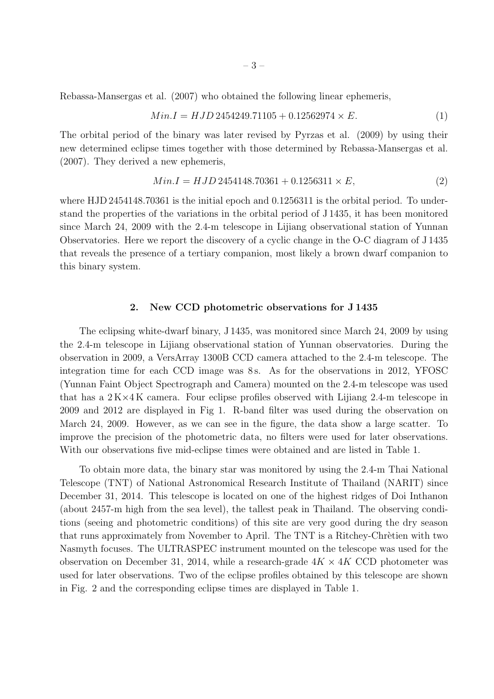Rebassa-Mansergas et al. (2007) who obtained the following linear ephemeris,

$$
Min.I = HJD 2454249.71105 + 0.12562974 \times E.
$$
\n<sup>(1)</sup>

The orbital period of the binary was later revised by Pyrzas et al. (2009) by using their new determined eclipse times together with those determined by Rebassa-Mansergas et al. (2007). They derived a new ephemeris,

$$
Min.I = HJD 2454148.70361 + 0.1256311 \times E,
$$
\n<sup>(2)</sup>

where HJD 2454148.70361 is the initial epoch and 0.1256311 is the orbital period. To understand the properties of the variations in the orbital period of J 1435, it has been monitored since March 24, 2009 with the 2.4-m telescope in Lijiang observational station of Yunnan Observatories. Here we report the discovery of a cyclic change in the O-C diagram of J 1435 that reveals the presence of a tertiary companion, most likely a brown dwarf companion to this binary system.

# 2. New CCD photometric observations for J 1435

The eclipsing white-dwarf binary, J 1435, was monitored since March 24, 2009 by using the 2.4-m telescope in Lijiang observational station of Yunnan observatories. During the observation in 2009, a VersArray 1300B CCD camera attached to the 2.4-m telescope. The integration time for each CCD image was 8s. As for the observations in 2012, YFOSC (Yunnan Faint Object Spectrograph and Camera) mounted on the 2.4-m telescope was used that has a  $2 K \times 4 K$  camera. Four eclipse profiles observed with Lijiang 2.4-m telescope in 2009 and 2012 are displayed in Fig 1. R-band filter was used during the observation on March 24, 2009. However, as we can see in the figure, the data show a large scatter. To improve the precision of the photometric data, no filters were used for later observations. With our observations five mid-eclipse times were obtained and are listed in Table 1.

To obtain more data, the binary star was monitored by using the 2.4-m Thai National Telescope (TNT) of National Astronomical Research Institute of Thailand (NARIT) since December 31, 2014. This telescope is located on one of the highest ridges of Doi Inthanon (about 2457-m high from the sea level), the tallest peak in Thailand. The observing conditions (seeing and photometric conditions) of this site are very good during the dry season that runs approximately from November to April. The TNT is a Ritchey-Chrètien with two Nasmyth focuses. The ULTRASPEC instrument mounted on the telescope was used for the observation on December 31, 2014, while a research-grade  $4K \times 4K$  CCD photometer was used for later observations. Two of the eclipse profiles obtained by this telescope are shown in Fig. 2 and the corresponding eclipse times are displayed in Table 1.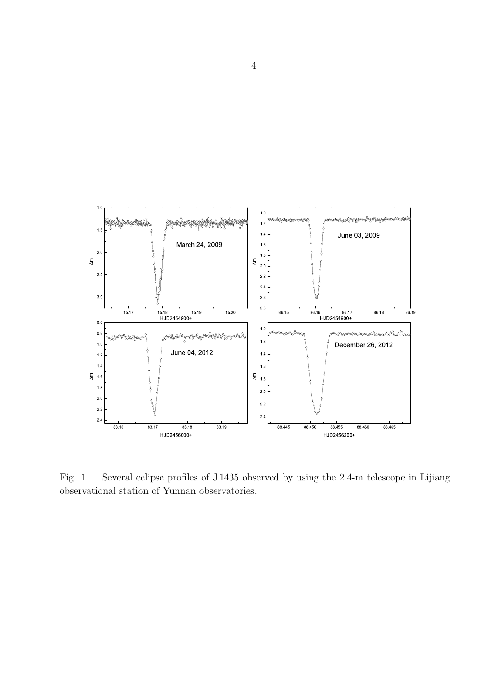

Fig. 1.— Several eclipse profiles of J 1435 observed by using the 2.4-m telescope in Lijiang observational station of Yunnan observatories.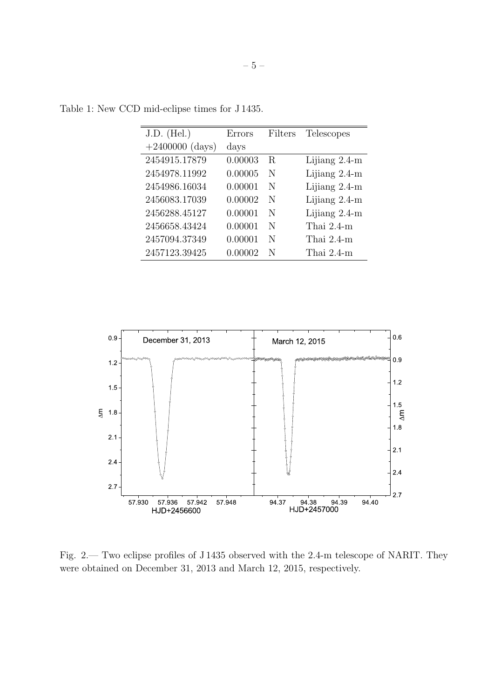| $J.D.$ (Hel.)     | Errors  | Filters | Telescopes      |
|-------------------|---------|---------|-----------------|
| $+2400000$ (days) | days    |         |                 |
| 2454915.17879     | 0.00003 | R.      | Lijiang 2.4-m   |
| 2454978.11992     | 0.00005 | N       | Lijiang $2.4-m$ |
| 2454986.16034     | 0.00001 | N       | Lijiang 2.4-m   |
| 2456083.17039     | 0.00002 | N       | Lijiang 2.4-m   |
| 2456288.45127     | 0.00001 | N       | Lijiang 2.4-m   |
| 2456658.43424     | 0.00001 | N       | Thai 2.4-m      |
| 2457094.37349     | 0.00001 | N       | Thai 2.4-m      |
| 2457123.39425     | 0.00002 | N       | Thai 2.4-m      |

Table 1: New CCD mid-eclipse times for J 1435.



Fig. 2.— Two eclipse profiles of J 1435 observed with the 2.4-m telescope of NARIT. They were obtained on December 31, 2013 and March 12, 2015, respectively.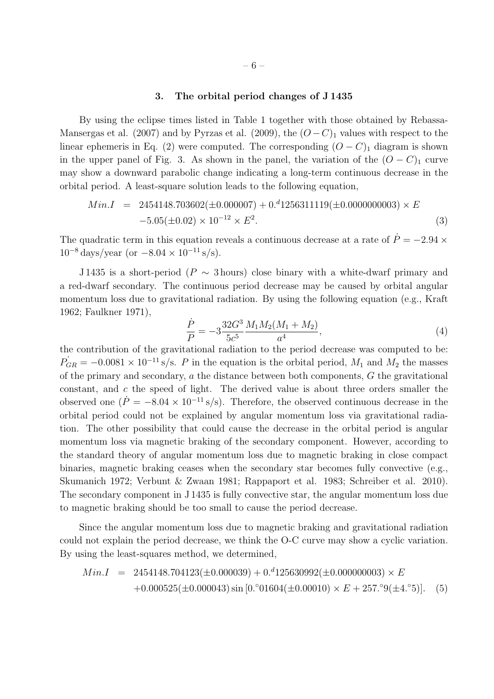# 3. The orbital period changes of J 1435

By using the eclipse times listed in Table 1 together with those obtained by Rebassa-Mansergas et al. (2007) and by Pyrzas et al. (2009), the  $(O - C)_1$  values with respect to the linear ephemeris in Eq. (2) were computed. The corresponding  $(O - C)$ <sub>1</sub> diagram is shown in the upper panel of Fig. 3. As shown in the panel, the variation of the  $(O - C)<sub>1</sub>$  curve may show a downward parabolic change indicating a long-term continuous decrease in the orbital period. A least-square solution leads to the following equation,

$$
Min.I = 2454148.703602(\pm 0.000007) + 0.^d1256311119(\pm 0.000000003) \times E
$$
  
-5.05(\pm 0.02) × 10<sup>-12</sup> × E<sup>2</sup>. (3)

The quadratic term in this equation reveals a continuous decrease at a rate of  $\dot{P} = -2.94 \times$  $10^{-8}$  days/year (or  $-8.04 \times 10^{-11}$  s/s).

J 1435 is a short-period ( $P \sim 3$  hours) close binary with a white-dwarf primary and a red-dwarf secondary. The continuous period decrease may be caused by orbital angular momentum loss due to gravitational radiation. By using the following equation (e.g., Kraft 1962; Faulkner 1971),

$$
\frac{\dot{P}}{P} = -3\frac{32G^3}{5c^5} \frac{M_1 M_2 (M_1 + M_2)}{a^4},\tag{4}
$$

the contribution of the gravitational radiation to the period decrease was computed to be:  $\dot{P}_{GR} = -0.0081 \times 10^{-11}$  s/s. P in the equation is the orbital period,  $M_1$  and  $M_2$  the masses of the primary and secondary, a the distance between both components, G the gravitational constant, and c the speed of light. The derived value is about three orders smaller the observed one  $(P = -8.04 \times 10^{-11}$  s/s). Therefore, the observed continuous decrease in the orbital period could not be explained by angular momentum loss via gravitational radiation. The other possibility that could cause the decrease in the orbital period is angular momentum loss via magnetic braking of the secondary component. However, according to the standard theory of angular momentum loss due to magnetic braking in close compact binaries, magnetic braking ceases when the secondary star becomes fully convective (e.g., Skumanich 1972; Verbunt & Zwaan 1981; Rappaport et al. 1983; Schreiber et al. 2010). The secondary component in J 1435 is fully convective star, the angular momentum loss due to magnetic braking should be too small to cause the period decrease.

Since the angular momentum loss due to magnetic braking and gravitational radiation could not explain the period decrease, we think the O-C curve may show a cyclic variation. By using the least-squares method, we determined,

$$
Min.I = 2454148.704123(\pm 0.000039) + 0.^d125630992(\pm 0.00000003) \times E
$$
  
+0.000525(\pm 0.000043) sin [0.°01604(\pm 0.00010) \times E + 257.°9(\pm 4.°5)]. (5)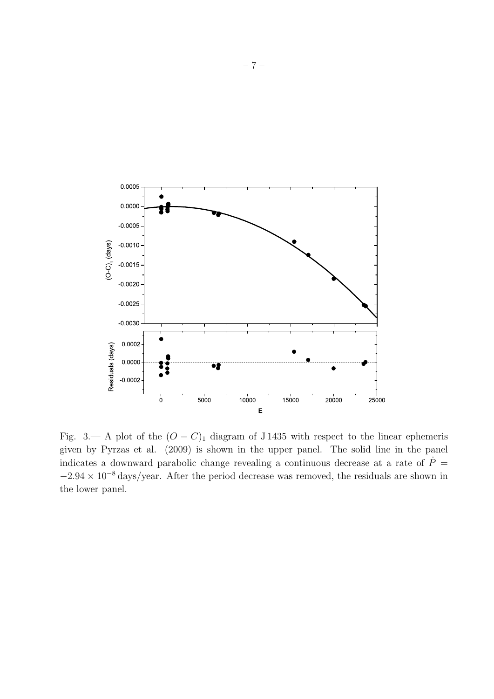

Fig. 3.— A plot of the  $(O - C)_1$  diagram of J 1435 with respect to the linear ephemeris given by Pyrzas et al. (2009) is shown in the upper panel. The solid line in the panel indicates a downward parabolic change revealing a continuous decrease at a rate of  $\dot{P}$  =  $-2.94 \times 10^{-8}$  days/year. After the period decrease was removed, the residuals are shown in the lower panel.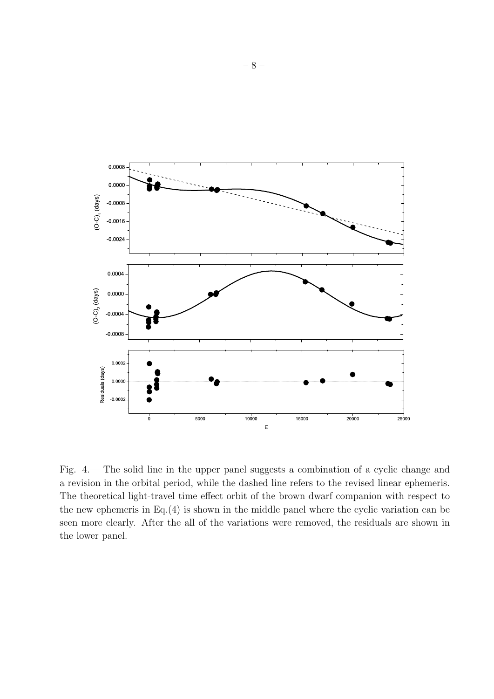

Fig. 4.— The solid line in the upper panel suggests a combination of a cyclic change and a revision in the orbital period, while the dashed line refers to the revised linear ephemeris. The theoretical light-travel time effect orbit of the brown dwarf companion with respect to the new ephemeris in Eq.(4) is shown in the middle panel where the cyclic variation can be seen more clearly. After the all of the variations were removed, the residuals are shown in the lower panel.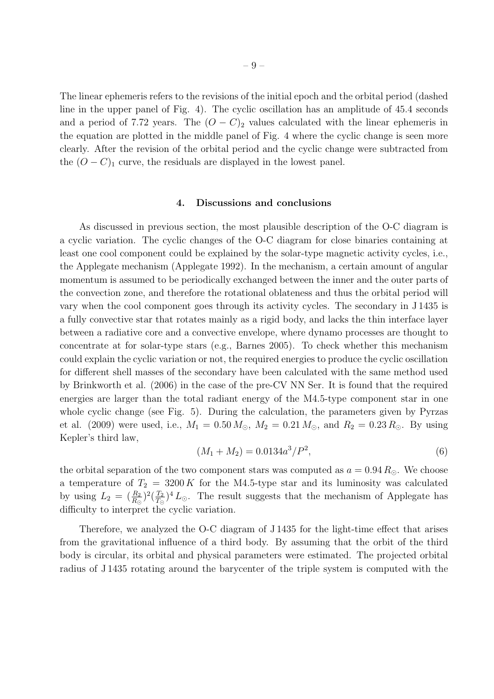The linear ephemeris refers to the revisions of the initial epoch and the orbital period (dashed line in the upper panel of Fig. 4). The cyclic oscillation has an amplitude of 45.4 seconds and a period of 7.72 years. The  $(O - C)_{2}$  values calculated with the linear ephemeris in the equation are plotted in the middle panel of Fig. 4 where the cyclic change is seen more clearly. After the revision of the orbital period and the cyclic change were subtracted from the  $(O - C)_1$  curve, the residuals are displayed in the lowest panel.

### 4. Discussions and conclusions

As discussed in previous section, the most plausible description of the O-C diagram is a cyclic variation. The cyclic changes of the O-C diagram for close binaries containing at least one cool component could be explained by the solar-type magnetic activity cycles, i.e., the Applegate mechanism (Applegate 1992). In the mechanism, a certain amount of angular momentum is assumed to be periodically exchanged between the inner and the outer parts of the convection zone, and therefore the rotational oblateness and thus the orbital period will vary when the cool component goes through its activity cycles. The secondary in J 1435 is a fully convective star that rotates mainly as a rigid body, and lacks the thin interface layer between a radiative core and a convective envelope, where dynamo processes are thought to concentrate at for solar-type stars (e.g., Barnes 2005). To check whether this mechanism could explain the cyclic variation or not, the required energies to produce the cyclic oscillation for different shell masses of the secondary have been calculated with the same method used by Brinkworth et al. (2006) in the case of the pre-CV NN Ser. It is found that the required energies are larger than the total radiant energy of the M4.5-type component star in one whole cyclic change (see Fig. 5). During the calculation, the parameters given by Pyrzas et al. (2009) were used, i.e.,  $M_1 = 0.50 M_{\odot}$ ,  $M_2 = 0.21 M_{\odot}$ , and  $R_2 = 0.23 R_{\odot}$ . By using Kepler's third law,

$$
(M_1 + M_2) = 0.0134a^3/P^2,
$$
\n<sup>(6)</sup>

the orbital separation of the two component stars was computed as  $a = 0.94 R_{\odot}$ . We choose a temperature of  $T_2 = 3200 K$  for the M4.5-type star and its luminosity was calculated by using  $L_2 = (\frac{R_2}{R_{\odot}})^2(\frac{T_2}{T_{\odot}})$  $\frac{T_2}{T_{\odot}}$ <sup>4</sup> $L_{\odot}$ . The result suggests that the mechanism of Applegate has difficulty to interpret the cyclic variation.

Therefore, we analyzed the O-C diagram of J 1435 for the light-time effect that arises from the gravitational influence of a third body. By assuming that the orbit of the third body is circular, its orbital and physical parameters were estimated. The projected orbital radius of J 1435 rotating around the barycenter of the triple system is computed with the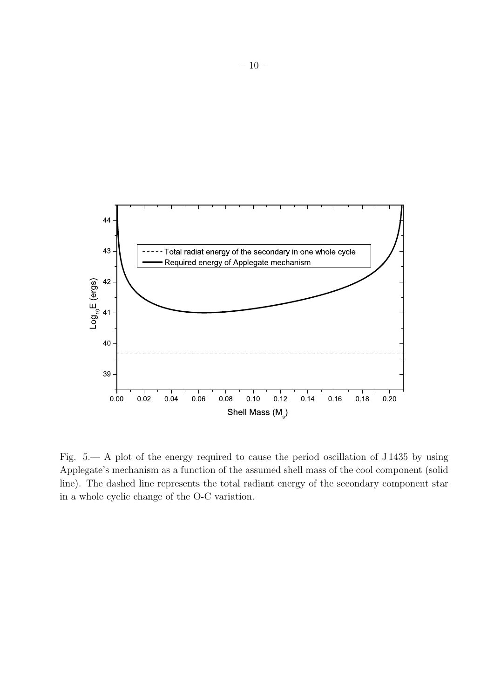

Fig. 5.— A plot of the energy required to cause the period oscillation of J 1435 by using Applegate's mechanism as a function of the assumed shell mass of the cool component (solid line). The dashed line represents the total radiant energy of the secondary component star in a whole cyclic change of the O-C variation.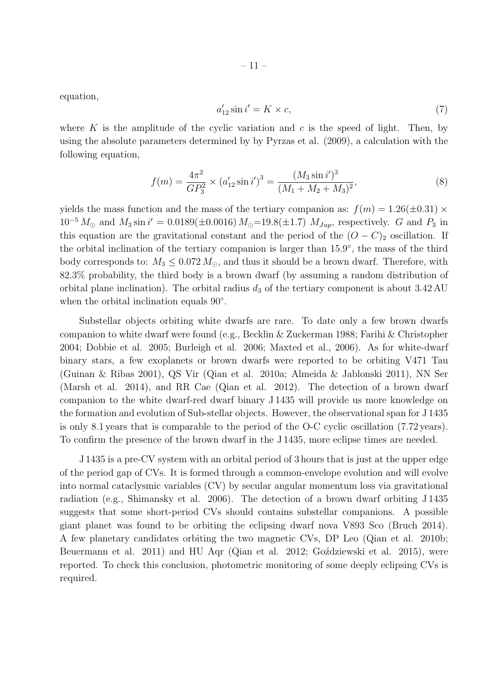equation,

$$
a'_{12}\sin i' = K \times c,\tag{7}
$$

where K is the amplitude of the cyclic variation and c is the speed of light. Then, by using the absolute parameters determined by by Pyrzas et al. (2009), a calculation with the following equation,

$$
f(m) = \frac{4\pi^2}{GP_3^2} \times (a_{12}' \sin i')^3 = \frac{(M_3 \sin i')^3}{(M_1 + M_2 + M_3)^2},
$$
\n(8)

yields the mass function and the mass of the tertiary companion as:  $f(m) = 1.26(\pm 0.31) \times$  $10^{-5} M_{\odot}$  and  $M_3 \sin i' = 0.0189(\pm 0.0016) M_{\odot} = 19.8(\pm 1.7) M_{Jup}$ , respectively. G and  $P_3$  in this equation are the gravitational constant and the period of the  $(O - C)_2$  oscillation. If the orbital inclination of the tertiary companion is larger than 15.9°, the mass of the third body corresponds to:  $M_3 \leq 0.072 M_{\odot}$ , and thus it should be a brown dwarf. Therefore, with 82.3% probability, the third body is a brown dwarf (by assuming a random distribution of orbital plane inclination). The orbital radius  $d_3$  of the tertiary component is about 3.42 AU when the orbital inclination equals 90°.

Substellar objects orbiting white dwarfs are rare. To date only a few brown dwarfs companion to white dwarf were found (e.g., Becklin & Zuckerman 1988; Farihi & Christopher 2004; Dobbie et al. 2005; Burleigh et al. 2006; Maxted et al., 2006). As for white-dwarf binary stars, a few exoplanets or brown dwarfs were reported to be orbiting V471 Tau (Guinan & Ribas 2001), QS Vir (Qian et al. 2010a; Almeida & Jablonski 2011), NN Ser (Marsh et al. 2014), and RR Cae (Qian et al. 2012). The detection of a brown dwarf companion to the white dwarf-red dwarf binary J 1435 will provide us more knowledge on the formation and evolution of Sub-stellar objects. However, the observational span for J 1435 is only 8.1 years that is comparable to the period of the O-C cyclic oscillation (7.72 years). To confirm the presence of the brown dwarf in the J 1435, more eclipse times are needed.

J 1435 is a pre-CV system with an orbital period of 3 hours that is just at the upper edge of the period gap of CVs. It is formed through a common-envelope evolution and will evolve into normal cataclysmic variables (CV) by secular angular momentum loss via gravitational radiation (e.g., Shimansky et al. 2006). The detection of a brown dwarf orbiting J 1435 suggests that some short-period CVs should contains substellar companions. A possible giant planet was found to be orbiting the eclipsing dwarf nova V893 Sco (Bruch 2014). A few planetary candidates orbiting the two magnetic CVs, DP Leo (Qian et al. 2010b; Beuermann et al. 2011) and HU Aqr (Qian et al. 2012; Gozdziewski et al. 2015), were reported. To check this conclusion, photometric monitoring of some deeply eclipsing CVs is required.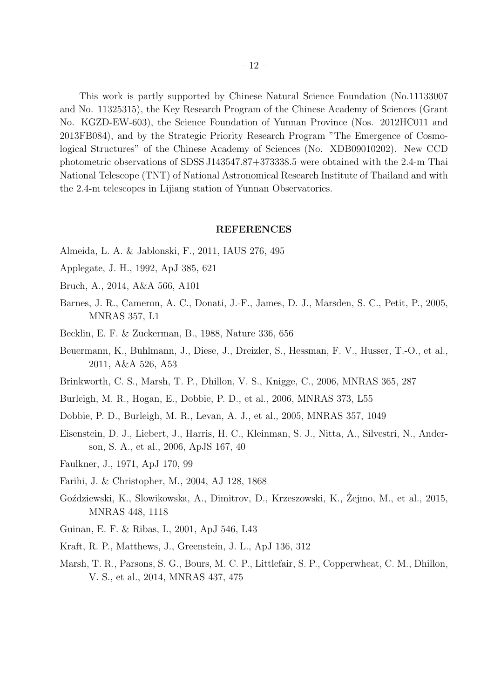This work is partly supported by Chinese Natural Science Foundation (No.11133007 and No. 11325315), the Key Research Program of the Chinese Academy of Sciences (Grant No. KGZD-EW-603), the Science Foundation of Yunnan Province (Nos. 2012HC011 and 2013FB084), and by the Strategic Priority Research Program "The Emergence of Cosmological Structures" of the Chinese Academy of Sciences (No. XDB09010202). New CCD photometric observations of SDSS J143547.87+373338.5 were obtained with the 2.4-m Thai National Telescope (TNT) of National Astronomical Research Institute of Thailand and with the 2.4-m telescopes in Lijiang station of Yunnan Observatories.

#### REFERENCES

- Almeida, L. A. & Jablonski, F., 2011, IAUS 276, 495
- Applegate, J. H., 1992, ApJ 385, 621
- Bruch, A., 2014, A&A 566, A101
- Barnes, J. R., Cameron, A. C., Donati, J.-F., James, D. J., Marsden, S. C., Petit, P., 2005, MNRAS 357, L1
- Becklin, E. F. & Zuckerman, B., 1988, Nature 336, 656
- Beuermann, K., Buhlmann, J., Diese, J., Dreizler, S., Hessman, F. V., Husser, T.-O., et al., 2011, A&A 526, A53
- Brinkworth, C. S., Marsh, T. P., Dhillon, V. S., Knigge, C., 2006, MNRAS 365, 287
- Burleigh, M. R., Hogan, E., Dobbie, P. D., et al., 2006, MNRAS 373, L55
- Dobbie, P. D., Burleigh, M. R., Levan, A. J., et al., 2005, MNRAS 357, 1049
- Eisenstein, D. J., Liebert, J., Harris, H. C., Kleinman, S. J., Nitta, A., Silvestri, N., Anderson, S. A., et al., 2006, ApJS 167, 40
- Faulkner, J., 1971, ApJ 170, 99
- Farihi, J. & Christopher, M., 2004, AJ 128, 1868
- Goździewski, K., Slowikowska, A., Dimitrov, D., Krzeszowski, K., Żejmo, M., et al., 2015, MNRAS 448, 1118
- Guinan, E. F. & Ribas, I., 2001, ApJ 546, L43
- Kraft, R. P., Matthews, J., Greenstein, J. L., ApJ 136, 312
- Marsh, T. R., Parsons, S. G., Bours, M. C. P., Littlefair, S. P., Copperwheat, C. M., Dhillon, V. S., et al., 2014, MNRAS 437, 475